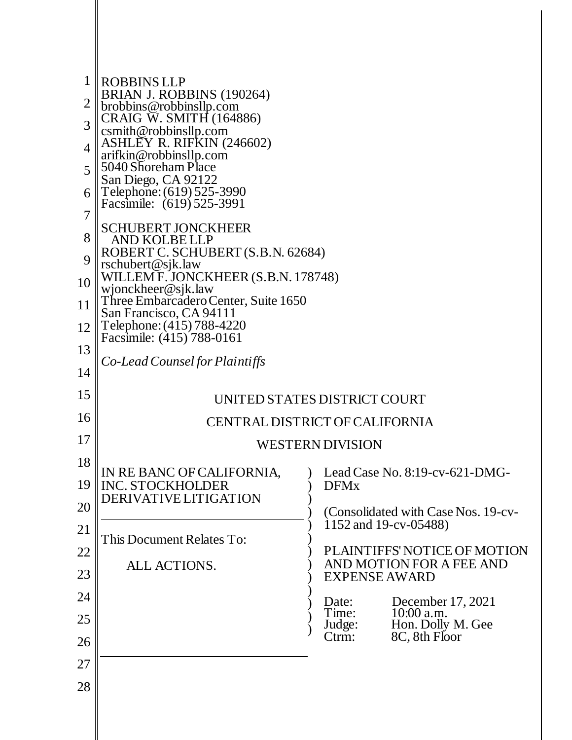| $\mathbf 1$    | <b>ROBBINS LLP</b>                                                              |                                                              |
|----------------|---------------------------------------------------------------------------------|--------------------------------------------------------------|
| $\overline{2}$ | BRIAN J. ROBBINS (190264)<br>brobbins@robbinsllp.com<br>CRAIG W. SMITH (164886) |                                                              |
| 3              | csmith@robbinsllp.com                                                           |                                                              |
| $\overline{4}$ | <b>ASHLEY R. RIFKIN (246602)</b><br>arifkin@robbinsllp.com                      |                                                              |
| 5              | 5040 Shoreham Place<br>San Diego, CA 92122                                      |                                                              |
| 6<br>7         | Telephone: (619) 525-3990<br>Facsimile: (619) 525-3991                          |                                                              |
| 8              | <b>SCHUBERT JONCKHEER</b><br><b>AND KOLBELLP</b>                                |                                                              |
| 9              | ROBERT C. SCHUBERT (S.B.N. 62684)<br>rschubert@sjk.law                          |                                                              |
| 10             | WILLEM F. JONCKHEER (S.B.N. 178748)<br>wjonckheer@sjk.law                       |                                                              |
| 11             | Three Embarcadero Center, Suite 1650<br>San Francisco, CA 94111                 |                                                              |
| 12             | Telephone: (415) 788-4220<br>Facsimile: (415) 788-0161                          |                                                              |
| 13             | Co-Lead Counsel for Plaintiffs                                                  |                                                              |
| 14             |                                                                                 |                                                              |
| 15             | UNITED STATES DISTRICT COURT                                                    |                                                              |
| 16             | CENTRAL DISTRICT OF CALIFORNIA                                                  |                                                              |
| 17             | WESTERN DIVISION                                                                |                                                              |
| 18             | IN RE BANC OF CALIFORNIA,                                                       | Lead Case No. 8:19-cv-621-DMG-                               |
| 19             | <b>INC. STOCKHOLDER</b><br>DERIVATIVE LITIGATION                                | <b>DFMx</b>                                                  |
| 20             |                                                                                 | (Consolidated with Case Nos. 19-cv-<br>1152 and 19-cv-05488) |
| 21<br>22       | This Document Relates To:                                                       | PLAINTIFFS' NOTICE OF MOTION                                 |
| 23             | ALL ACTIONS.                                                                    | AND MOTION FOR A FEE AND<br><b>EXPENSE AWARD</b>             |
| 24             |                                                                                 | December 17, 2021<br>Date:                                   |
| 25             |                                                                                 | Time:<br>$10:00$ a.m.<br>Hon. Dolly M. Gee<br>Judge:         |
| 26             |                                                                                 | 8C, 8th Floor<br>Ctrm:                                       |
| 27             |                                                                                 |                                                              |
| 28             |                                                                                 |                                                              |
|                |                                                                                 |                                                              |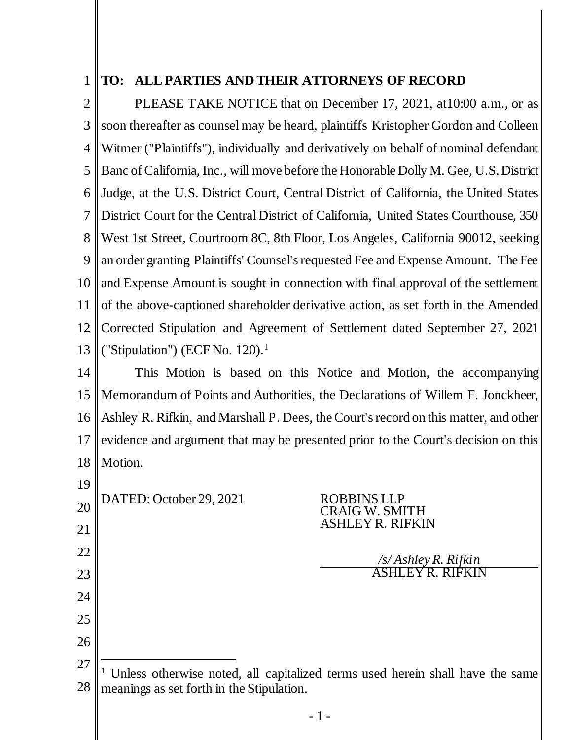## 1 **TO: ALL PARTIES AND THEIR ATTORNEYS OF RECORD**

2 3 4 5 6 7 8 9 10 11 12 13 PLEASE TAKE NOTICE that on December 17, 2021, at10:00 a.m., or as soon thereafter as counsel may be heard, plaintiffs Kristopher Gordon and Colleen Witmer ("Plaintiffs"), individually and derivatively on behalf of nominal defendant Banc of California, Inc., will move before the Honorable Dolly M. Gee, U.S. District Judge, at the U.S. District Court, Central District of California, the United States District Court for the Central District of California, United States Courthouse, 350 West 1st Street, Courtroom 8C, 8th Floor, Los Angeles, California 90012, seeking an order granting Plaintiffs' Counsel's requested Fee and Expense Amount. The Fee and Expense Amount is sought in connection with final approval of the settlement of the above-captioned shareholder derivative action, as set forth in the Amended Corrected Stipulation and Agreement of Settlement dated September 27, 2021 ("Stipulation") (ECF No. 120). 1

14 15 16 17 18 This Motion is based on this Notice and Motion, the accompanying Memorandum of Points and Authorities, the Declarations of Willem F. Jonckheer, Ashley R. Rifkin, and Marshall P. Dees, the Court's record on this matter, and other evidence and argument that may be presented prior to the Court's decision on this Motion.

20 21 22 23 24 25 26 DATED: October 29, 2021 ROBBINS LLP CRAIG W. SMITH ASHLEY R. RIFKIN */s/ Ashley R. Rifkin* ASHLEY R. RIFKIN

19

<sup>27</sup> 28  $\overline{a}$ <sup>1</sup> Unless otherwise noted, all capitalized terms used herein shall have the same meanings as set forth in the Stipulation.